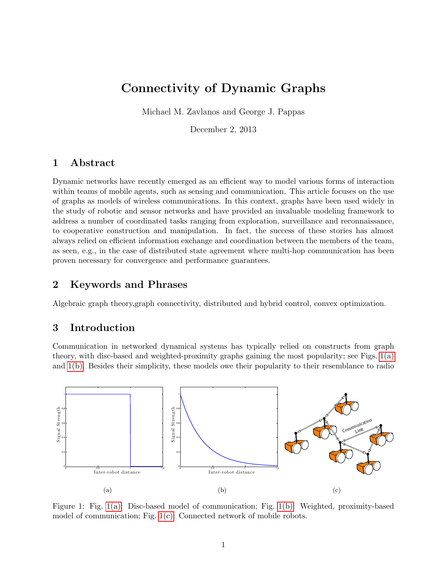# Connectivity of Dynamic Graphs

Michael M. Zavlanos and George J. Pappas

December 2, 2013

### 1 Abstract

Dynamic networks have recently emerged as an efficient way to model various forms of interaction within teams of mobile agents, such as sensing and communication. This article focuses on the use of graphs as models of wireless communications. In this context, graphs have been used widely in the study of robotic and sensor networks and have provided an invaluable modeling framework to address a number of coordinated tasks ranging from exploration, surveillance and reconnaissance, to cooperative construction and manipulation. In fact, the success of these stories has almost always relied on efficient information exchange and coordination between the members of the team, as seen, e.g., in the case of distributed state agreement where multi-hop communication has been proven necessary for convergence and performance guarantees.

# 2 Keywords and Phrases

Algebraic graph theory,graph connectivity, distributed and hybrid control, convex optimization.

# 3 Introduction

Communication in networked dynamical systems has typically relied on constructs from graph theory, with disc-based and weighted-proximity graphs gaining the most popularity; see Figs. [1\(a\)](#page-0-0) and [1\(b\).](#page-0-1) Besides their simplicity, these models owe their popularity to their resemblance to radio

<span id="page-0-0"></span>

<span id="page-0-2"></span><span id="page-0-1"></span>Figure 1: Fig. [1\(a\):](#page-0-0) Disc-based model of communication; Fig. [1\(b\):](#page-0-1) Weighted, proximity-based model of communication; Fig. [1\(c\):](#page-0-2) Connected network of mobile robots.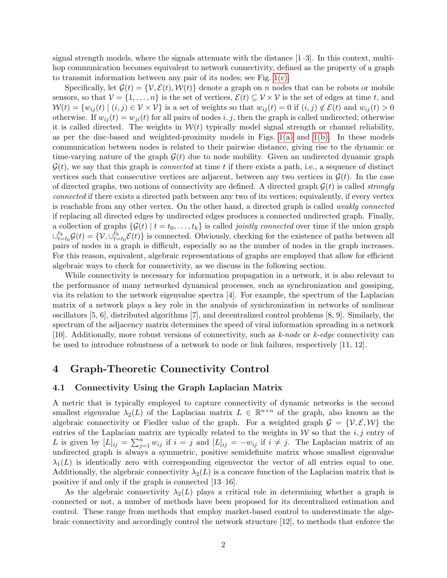signal strength models, where the signals attenuate with the distance [1–3]. In this context, multihop communication becomes equivalent to network connectivity, defined as the property of a graph to transmit information between any pair of its nodes; see Fig. [1\(c\).](#page-0-2)

Specifically, let  $\mathcal{G}(t) = \{\mathcal{V}, \mathcal{E}(t), \mathcal{W}(t)\}\$  denote a graph on n nodes that can be robots or mobile sensors, so that  $\mathcal{V} = \{1, \ldots, n\}$  is the set of vertices,  $\mathcal{E}(t) \subseteq \mathcal{V} \times \mathcal{V}$  is the set of edges at time t, and  $W(t) = \{w_{ij}(t) \mid (i, j) \in \mathcal{V} \times \mathcal{V}\}\$ is a set of weights so that  $w_{ij}(t) = 0$  if  $(i, j) \notin \mathcal{E}(t)$  and  $w_{ij}(t) > 0$ otherwise. If  $w_{ii}(t) = w_{ii}(t)$  for all pairs of nodes i, j, then the graph is called undirected; otherwise it is called directed. The weights in  $W(t)$  typically model signal strength or channel reliability, as per the disc-based and weighted-proximity models in Figs.  $1(a)$  and  $1(b)$ . In these models communication between nodes is related to their pairwise distance, giving rise to the dynamic or time-varying nature of the graph  $\mathcal{G}(t)$  due to node mobility. Given an undirected dynamic graph  $\mathcal{G}(t)$ , we say that this graph is *connected* at time t if there exists a path, i.e., a sequence of distinct vertices such that consecutive vertices are adjacent, between any two vertices in  $\mathcal{G}(t)$ . In the case of directed graphs, two notions of connectivity are defined. A directed graph  $\mathcal{G}(t)$  is called *strongly* connected if there exists a directed path between any two of its vertices; equivalently, if every vertex is reachable from any other vertex. On the other hand, a directed graph is called weakly connected if replacing all directed edges by undirected edges produces a connected undirected graph. Finally, a collection of graphs  $\{\mathcal{G}(t) \mid t = t_0, \ldots, t_k\}$  is called *jointly connected* over time if the union graph  $\cup_{t=t_0}^{t_k} \mathcal{G}(t) = \{ \mathcal{V}, \cup_{t=t_0}^{t_k} \mathcal{E}(t) \}$  is connected. Obviously, checking for the existence of paths between all pairs of nodes in a graph is difficult, especially so as the number of nodes in the graph increases. For this reason, equivalent, algebraic representations of graphs are employed that allow for efficient algebraic ways to check for connectivity, as we discuss in the following section.

While connectivity is necessary for information propagation in a network, it is also relevant to the performance of many networked dynamical processes, such as synchronization and gossiping, via its relation to the network eigenvalue spectra [4]. For example, the spectrum of the Laplacian matrix of a network plays a key role in the analysis of synchronization in networks of nonlinear oscillators [5, 6], distributed algorithms [7], and decentralized control problems [8, 9]. Similarly, the spectrum of the adjacency matrix determines the speed of viral information spreading in a network [10]. Additionally, more robust versions of connectivity, such as k-node or k-edge connectivity can be used to introduce robustness of a network to node or link failures, respectively [11, 12].

### 4 Graph-Theoretic Connectivity Control

#### 4.1 Connectivity Using the Graph Laplacian Matrix

A metric that is typically employed to capture connectivity of dynamic networks is the second smallest eigenvalue  $\lambda_2(L)$  of the Laplacian matrix  $L \in \mathbb{R}^{n \times n}$  of the graph, also known as the algebraic connectivity or Fiedler value of the graph. For a weighted graph  $\mathcal{G} = \{ \mathcal{V}, \mathcal{E}, \mathcal{W} \}$  the entries of the Laplacian matrix are typically related to the weights in  $W$  so that the i, j entry of L is given by  $[L]_{ij} = \sum_{j=1}^n w_{ij}$  if  $i = j$  and  $[L]_{ij} = -w_{ij}$  if  $i \neq j$ . The Laplacian matrix of an undirected graph is always a symmetric, positive semidefinite matrix whose smallest eigenvalue  $\lambda_1(L)$  is identically zero with corresponding eigenvector the vector of all entries equal to one. Additionally, the algebraic connectivity  $\lambda_2(L)$  is a concave function of the Laplacian matrix that is positive if and only if the graph is connected [13–16].

As the algebraic connectivity  $\lambda_2(L)$  plays a critical role in determining whether a graph is connected or not, a number of methods have been proposed for its decentralized estimation and control. These range from methods that employ market-based control to underestimate the algebraic connectivity and accordingly control the network structure [12], to methods that enforce the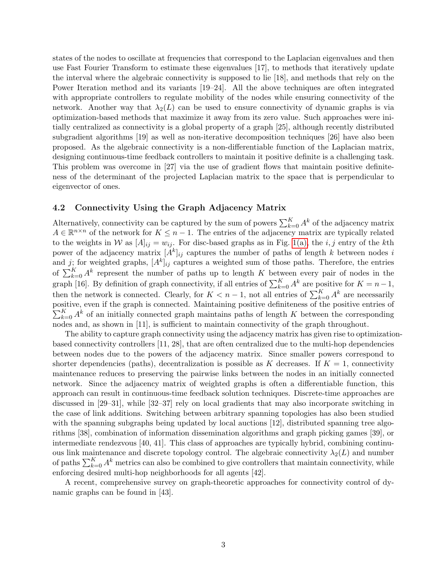states of the nodes to oscillate at frequencies that correspond to the Laplacian eigenvalues and then use Fast Fourier Transform to estimate these eigenvalues [17], to methods that iteratively update the interval where the algebraic connectivity is supposed to lie [18], and methods that rely on the Power Iteration method and its variants [19–24]. All the above techniques are often integrated with appropriate controllers to regulate mobility of the nodes while ensuring connectivity of the network. Another way that  $\lambda_2(L)$  can be used to ensure connectivity of dynamic graphs is via optimization-based methods that maximize it away from its zero value. Such approaches were initially centralized as connectivity is a global property of a graph [25], although recently distributed subgradient algorithms [19] as well as non-iterative decomposition techniques [26] have also been proposed. As the algebraic connectivity is a non-differentiable function of the Laplacian matrix, designing continuous-time feedback controllers to maintain it positive definite is a challenging task. This problem was overcome in [27] via the use of gradient flows that maintain positive definiteness of the determinant of the projected Laplacian matrix to the space that is perpendicular to eigenvector of ones.

#### 4.2 Connectivity Using the Graph Adjacency Matrix

Alternatively, connectivity can be captured by the sum of powers  $\sum_{k=0}^{K} A^k$  of the adjacency matrix  $A \in \mathbb{R}^{n \times n}$  of the network for  $K \leq n-1$ . The entries of the adjacency matrix are typically related to the weights in W as  $[A]_{ij} = w_{ij}$ . For disc-based graphs as in Fig. [1\(a\),](#page-0-0) the *i*, *j* entry of the kth power of the adjacency matrix  $[A^k]_{ij}$  captures the number of paths of length k between nodes i and j; for weighted graphs,  $[A^k]_{ij}$  captures a weighted sum of those paths. Therefore, the entries of  $\sum_{k=0}^{K} A^k$  represent the number of paths up to length K between every pair of nodes in the graph [16]. By definition of graph connectivity, if all entries of  $\sum_{k=0}^{K} A^k$  are positive for  $K = n-1$ , then the network is connected. Clearly, for  $K < n - 1$ , not all entries of  $\sum_{k=0}^{K} A^k$  are necessarily positive, even if the graph is connected. Maintaining positive definiteness of the positive entries of  $\sum_{k=0}^{K} A^k$  of an initially connected graph maintains paths of length K between the corresponding nodes and, as shown in [11], is sufficient to maintain connectivity of the graph throughout.

The ability to capture graph connectivity using the adjacency matrix has given rise to optimizationbased connectivity controllers [11, 28], that are often centralized due to the multi-hop dependencies between nodes due to the powers of the adjacency matrix. Since smaller powers correspond to shorter dependencies (paths), decentralization is possible as K decreases. If  $K = 1$ , connectivity maintenance reduces to preserving the pairwise links between the nodes in an initially connected network. Since the adjacency matrix of weighted graphs is often a differentiable function, this approach can result in continuous-time feedback solution techniques. Discrete-time approaches are discussed in [29–31], while [32–37] rely on local gradients that may also incorporate switching in the case of link additions. Switching between arbitrary spanning topologies has also been studied with the spanning subgraphs being updated by local auctions [12], distributed spanning tree algorithms [38], combination of information dissemination algorithms and graph picking games [39], or intermediate rendezvous [40, 41]. This class of approaches are typically hybrid, combining continuous link maintenance and discrete topology control. The algebraic connectivity  $\lambda_2(L)$  and number of paths  $\sum_{k=0}^{K} A^k$  metrics can also be combined to give controllers that maintain connectivity, while enforcing desired multi-hop neighborhoods for all agents [42].

A recent, comprehensive survey on graph-theoretic approaches for connectivity control of dynamic graphs can be found in [43].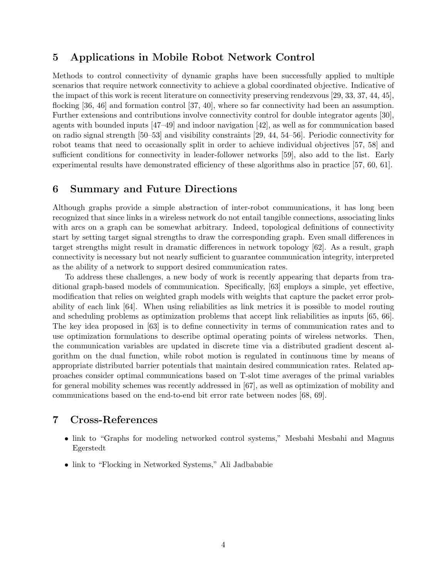# 5 Applications in Mobile Robot Network Control

Methods to control connectivity of dynamic graphs have been successfully applied to multiple scenarios that require network connectivity to achieve a global coordinated objective. Indicative of the impact of this work is recent literature on connectivity preserving rendezvous [29, 33, 37, 44, 45], flocking [36, 46] and formation control [37, 40], where so far connectivity had been an assumption. Further extensions and contributions involve connectivity control for double integrator agents [30], agents with bounded inputs [47–49] and indoor navigation [42], as well as for communication based on radio signal strength [50–53] and visibility constraints [29, 44, 54–56]. Periodic connectivity for robot teams that need to occasionally split in order to achieve individual objectives [57, 58] and sufficient conditions for connectivity in leader-follower networks [59], also add to the list. Early experimental results have demonstrated efficiency of these algorithms also in practice [57, 60, 61].

### 6 Summary and Future Directions

Although graphs provide a simple abstraction of inter-robot communications, it has long been recognized that since links in a wireless network do not entail tangible connections, associating links with arcs on a graph can be somewhat arbitrary. Indeed, topological definitions of connectivity start by setting target signal strengths to draw the corresponding graph. Even small differences in target strengths might result in dramatic differences in network topology [62]. As a result, graph connectivity is necessary but not nearly sufficient to guarantee communication integrity, interpreted as the ability of a network to support desired communication rates.

To address these challenges, a new body of work is recently appearing that departs from traditional graph-based models of communication. Specifically, [63] employs a simple, yet effective, modification that relies on weighted graph models with weights that capture the packet error probability of each link [64]. When using reliabilities as link metrics it is possible to model routing and scheduling problems as optimization problems that accept link reliabilities as inputs [65, 66]. The key idea proposed in [63] is to define connectivity in terms of communication rates and to use optimization formulations to describe optimal operating points of wireless networks. Then, the communication variables are updated in discrete time via a distributed gradient descent algorithm on the dual function, while robot motion is regulated in continuous time by means of appropriate distributed barrier potentials that maintain desired communication rates. Related approaches consider optimal communications based on T-slot time averages of the primal variables for general mobility schemes was recently addressed in [67], as well as optimization of mobility and communications based on the end-to-end bit error rate between nodes [68, 69].

### 7 Cross-References

- link to "Graphs for modeling networked control systems," Mesbahi Mesbahi and Magnus Egerstedt
- link to "Flocking in Networked Systems," Ali Jadbababie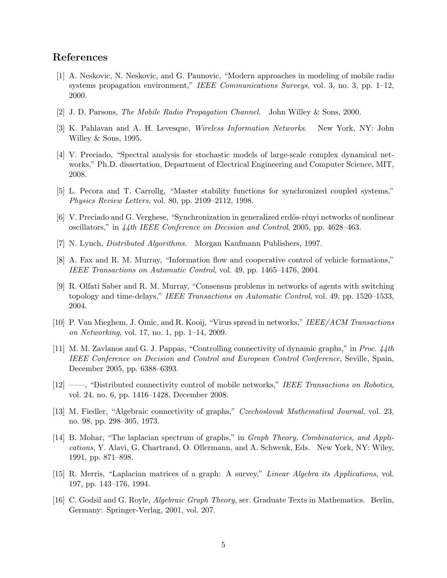# References

- [1] A. Neskovic, N. Neskovic, and G. Paunovic, "Modern approaches in modeling of mobile radio systems propagation environment," IEEE Communications Surveys, vol. 3, no. 3, pp.  $1-12$ , 2000.
- [2] J. D. Parsons, The Mobile Radio Propagation Channel. John Willey & Sons, 2000.
- [3] K. Pahlavan and A. H. Levesque, Wireless Information Networks. New York, NY: John Willey & Sons, 1995.
- [4] V. Preciado, "Spectral analysis for stochastic models of large-scale complex dynamical networks," Ph.D. dissertation, Department of Electrical Engineering and Computer Science, MIT, 2008.
- [5] L. Pecora and T. Carrollg, "Master stability functions for synchronized coupled systems," Physics Review Letters, vol. 80, pp. 2109–2112, 1998.
- [6] V. Preciado and G. Verghese, "Synchronization in generalized erdös-rényi networks of nonlinear oscillators," in 44th IEEE Conference on Decision and Control, 2005, pp. 4628–463.
- [7] N. Lynch, Distributed Algorithms. Morgan Kaufmann Publishers, 1997.
- [8] A. Fax and R. M. Murray, "Information flow and cooperative control of vehicle formations," IEEE Transactions on Automatic Control, vol. 49, pp. 1465–1476, 2004.
- [9] R. Olfati Saber and R. M. Murray, "Consensus problems in networks of agents with switching topology and time-delays," IEEE Transactions on Automatic Control, vol. 49, pp. 1520–1533, 2004.
- [10] P. Van Mieghem, J. Omic, and R. Kooij, "Virus spread in networks," IEEE/ACM Transactions on Networking, vol. 17, no. 1, pp. 1–14, 2009.
- [11] M. M. Zavlanos and G. J. Pappas, "Controlling connectivity of dynamic graphs," in Proc. 44th IEEE Conference on Decision and Control and European Control Conference, Seville, Spain, December 2005, pp. 6388–6393.
- [12] ——, "Distributed connectivity control of mobile networks," IEEE Transactions on Robotics, vol. 24, no. 6, pp. 1416–1428, December 2008.
- [13] M. Fiedler, "Algebraic connectivity of graphs," Czechoslovak Mathematical Journal, vol. 23, no. 98, pp. 298–305, 1973.
- [14] B. Mohar, "The laplacian spectrum of graphs," in Graph Theory, Combinatorics, and Applications, Y. Alavi, G. Chartrand, O. Ollermann, and A. Schwenk, Eds. New York, NY: Wiley, 1991, pp. 871–898.
- [15] R. Merris, "Laplacian matrices of a graph: A survey," Linear Algebra its Applications, vol. 197, pp. 143–176, 1994.
- [16] C. Godsil and G. Royle, Algebraic Graph Theory, ser. Graduate Texts in Mathematics. Berlin, Germany: Springer-Verlag, 2001, vol. 207.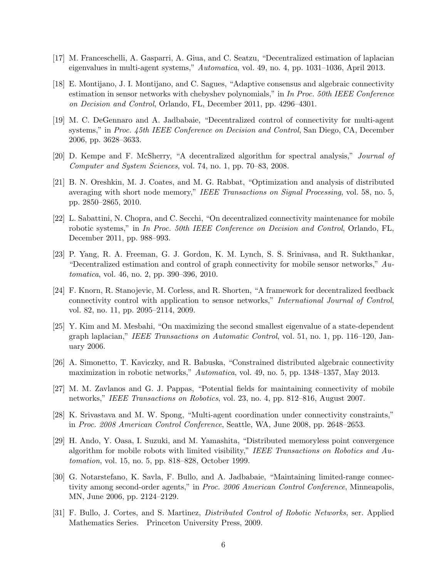- [17] M. Franceschelli, A. Gasparri, A. Giua, and C. Seatzu, "Decentralized estimation of laplacian eigenvalues in multi-agent systems," Automatica, vol. 49, no. 4, pp. 1031–1036, April 2013.
- [18] E. Montijano, J. I. Montijano, and C. Sagues, "Adaptive consensus and algebraic connectivity estimation in sensor networks with chebyshev polynomials," in In Proc. 50th IEEE Conference on Decision and Control, Orlando, FL, December 2011, pp. 4296–4301.
- [19] M. C. DeGennaro and A. Jadbabaie, "Decentralized control of connectivity for multi-agent systems," in Proc. 45th IEEE Conference on Decision and Control, San Diego, CA, December 2006, pp. 3628–3633.
- [20] D. Kempe and F. McSherry, "A decentralized algorithm for spectral analysis," Journal of Computer and System Sciences, vol. 74, no. 1, pp. 70–83, 2008.
- [21] B. N. Oreshkin, M. J. Coates, and M. G. Rabbat, "Optimization and analysis of distributed averaging with short node memory," IEEE Transactions on Signal Processing, vol. 58, no. 5, pp. 2850–2865, 2010.
- [22] L. Sabattini, N. Chopra, and C. Secchi, "On decentralized connectivity maintenance for mobile robotic systems," in In Proc. 50th IEEE Conference on Decision and Control, Orlando, FL, December 2011, pp. 988–993.
- [23] P. Yang, R. A. Freeman, G. J. Gordon, K. M. Lynch, S. S. Srinivasa, and R. Sukthankar, "Decentralized estimation and control of graph connectivity for mobile sensor networks,"  $Au$ tomatica, vol. 46, no. 2, pp. 390–396, 2010.
- [24] F. Knorn, R. Stanojevic, M. Corless, and R. Shorten, "A framework for decentralized feedback connectivity control with application to sensor networks," International Journal of Control, vol. 82, no. 11, pp. 2095–2114, 2009.
- [25] Y. Kim and M. Mesbahi, "On maximizing the second smallest eigenvalue of a state-dependent graph laplacian," IEEE Transactions on Automatic Control, vol. 51, no. 1, pp. 116–120, January 2006.
- [26] A. Simonetto, T. Kaviczky, and R. Babuska, "Constrained distributed algebraic connectivity maximization in robotic networks," Automatica, vol. 49, no. 5, pp. 1348–1357, May 2013.
- [27] M. M. Zavlanos and G. J. Pappas, "Potential fields for maintaining connectivity of mobile networks," IEEE Transactions on Robotics, vol. 23, no. 4, pp. 812–816, August 2007.
- [28] K. Srivastava and M. W. Spong, "Multi-agent coordination under connectivity constraints," in Proc. 2008 American Control Conference, Seattle, WA, June 2008, pp. 2648–2653.
- [29] H. Ando, Y. Oasa, I. Suzuki, and M. Yamashita, "Distributed memoryless point convergence algorithm for mobile robots with limited visibility," IEEE Transactions on Robotics and Automation, vol. 15, no. 5, pp. 818–828, October 1999.
- [30] G. Notarstefano, K. Savla, F. Bullo, and A. Jadbabaie, "Maintaining limited-range connectivity among second-order agents," in Proc. 2006 American Control Conference, Minneapolis, MN, June 2006, pp. 2124–2129.
- [31] F. Bullo, J. Cortes, and S. Martinez, Distributed Control of Robotic Networks, ser. Applied Mathematics Series. Princeton University Press, 2009.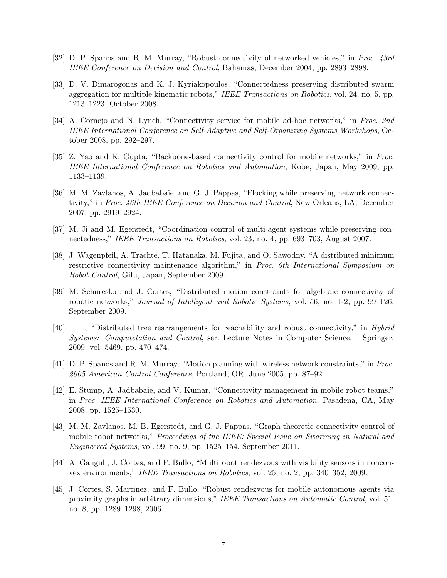- [32] D. P. Spanos and R. M. Murray, "Robust connectivity of networked vehicles," in Proc. 43rd IEEE Conference on Decision and Control, Bahamas, December 2004, pp. 2893–2898.
- [33] D. V. Dimarogonas and K. J. Kyriakopoulos, "Connectedness preserving distributed swarm aggregation for multiple kinematic robots," IEEE Transactions on Robotics, vol. 24, no. 5, pp. 1213–1223, October 2008.
- [34] A. Cornejo and N. Lynch, "Connectivity service for mobile ad-hoc networks," in Proc. 2nd IEEE International Conference on Self-Adaptive and Self-Organizing Systems Workshops, October 2008, pp. 292–297.
- [35] Z. Yao and K. Gupta, "Backbone-based connectivity control for mobile networks," in Proc. IEEE International Conference on Robotics and Automation, Kobe, Japan, May 2009, pp. 1133–1139.
- [36] M. M. Zavlanos, A. Jadbabaie, and G. J. Pappas, "Flocking while preserving network connectivity," in Proc. 46th IEEE Conference on Decision and Control, New Orleans, LA, December 2007, pp. 2919–2924.
- [37] M. Ji and M. Egerstedt, "Coordination control of multi-agent systems while preserving connectedness," IEEE Transactions on Robotics, vol. 23, no. 4, pp. 693–703, August 2007.
- [38] J. Wagenpfeil, A. Trachte, T. Hatanaka, M. Fujita, and O. Sawodny, "A distributed minimum restrictive connectivity maintenance algorithm," in Proc. 9th International Symposium on Robot Control, Gifu, Japan, September 2009.
- [39] M. Schuresko and J. Cortes, "Distributed motion constraints for algebraic connectivity of robotic networks," Journal of Intelligent and Robotic Systems, vol. 56, no. 1-2, pp. 99–126, September 2009.
- [40] ——, "Distributed tree rearrangements for reachability and robust connectivity," in Hybrid Systems: Computetation and Control, ser. Lecture Notes in Computer Science. Springer, 2009, vol. 5469, pp. 470–474.
- [41] D. P. Spanos and R. M. Murray, "Motion planning with wireless network constraints," in Proc. 2005 American Control Conference, Portland, OR, June 2005, pp. 87–92.
- [42] E. Stump, A. Jadbabaie, and V. Kumar, "Connectivity management in mobile robot teams," in Proc. IEEE International Conference on Robotics and Automation, Pasadena, CA, May 2008, pp. 1525–1530.
- [43] M. M. Zavlanos, M. B. Egerstedt, and G. J. Pappas, "Graph theoretic connectivity control of mobile robot networks," Proceedings of the IEEE: Special Issue on Swarming in Natural and Engineered Systems, vol. 99, no. 9, pp. 1525–154, September 2011.
- [44] A. Ganguli, J. Cortes, and F. Bullo, "Multirobot rendezvous with visibility sensors in nonconvex environments," IEEE Transactions on Robotics, vol. 25, no. 2, pp. 340–352, 2009.
- [45] J. Cortes, S. Martinez, and F. Bullo, "Robust rendezvous for mobile autonomous agents via proximity graphs in arbitrary dimensions," IEEE Transactions on Automatic Control, vol. 51, no. 8, pp. 1289–1298, 2006.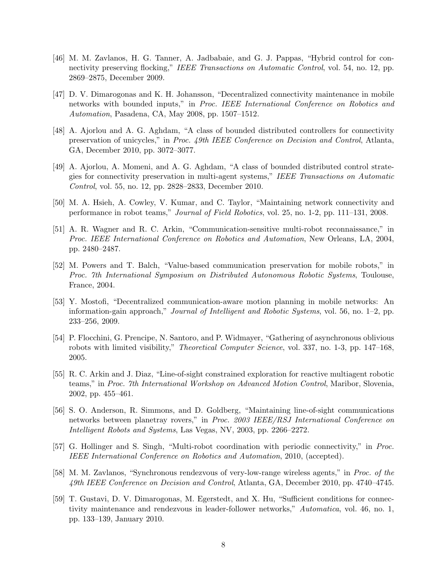- [46] M. M. Zavlanos, H. G. Tanner, A. Jadbabaie, and G. J. Pappas, "Hybrid control for connectivity preserving flocking," IEEE Transactions on Automatic Control, vol. 54, no. 12, pp. 2869–2875, December 2009.
- [47] D. V. Dimarogonas and K. H. Johansson, "Decentralized connectivity maintenance in mobile networks with bounded inputs," in Proc. IEEE International Conference on Robotics and Automation, Pasadena, CA, May 2008, pp. 1507–1512.
- [48] A. Ajorlou and A. G. Aghdam, "A class of bounded distributed controllers for connectivity preservation of unicycles," in Proc. 49th IEEE Conference on Decision and Control, Atlanta, GA, December 2010, pp. 3072–3077.
- [49] A. Ajorlou, A. Momeni, and A. G. Aghdam, "A class of bounded distributed control strategies for connectivity preservation in multi-agent systems," IEEE Transactions on Automatic Control, vol. 55, no. 12, pp. 2828–2833, December 2010.
- [50] M. A. Hsieh, A. Cowley, V. Kumar, and C. Taylor, "Maintaining network connectivity and performance in robot teams," Journal of Field Robotics, vol. 25, no. 1-2, pp. 111–131, 2008.
- [51] A. R. Wagner and R. C. Arkin, "Communication-sensitive multi-robot reconnaissance," in Proc. IEEE International Conference on Robotics and Automation, New Orleans, LA, 2004, pp. 2480–2487.
- [52] M. Powers and T. Balch, "Value-based communication preservation for mobile robots," in Proc. 7th International Symposium on Distributed Autonomous Robotic Systems, Toulouse, France, 2004.
- [53] Y. Mostofi, "Decentralized communication-aware motion planning in mobile networks: An information-gain approach," Journal of Intelligent and Robotic Systems, vol. 56, no. 1–2, pp. 233–256, 2009.
- [54] P. Flocchini, G. Prencipe, N. Santoro, and P. Widmayer, "Gathering of asynchronous oblivious robots with limited visibility," *Theoretical Computer Science*, vol. 337, no. 1-3, pp. 147–168, 2005.
- [55] R. C. Arkin and J. Diaz, "Line-of-sight constrained exploration for reactive multiagent robotic teams," in Proc. 7th International Workshop on Advanced Motion Control, Maribor, Slovenia, 2002, pp. 455–461.
- [56] S. O. Anderson, R. Simmons, and D. Goldberg, "Maintaining line-of-sight communications networks between planetray rovers," in Proc. 2003 IEEE/RSJ International Conference on Intelligent Robots and Systems, Las Vegas, NV, 2003, pp. 2266–2272.
- [57] G. Hollinger and S. Singh, "Multi-robot coordination with periodic connectivity," in Proc. IEEE International Conference on Robotics and Automation, 2010, (accepted).
- [58] M. M. Zavlanos, "Synchronous rendezvous of very-low-range wireless agents," in Proc. of the 49th IEEE Conference on Decision and Control, Atlanta, GA, December 2010, pp. 4740–4745.
- [59] T. Gustavi, D. V. Dimarogonas, M. Egerstedt, and X. Hu, "Sufficient conditions for connectivity maintenance and rendezvous in leader-follower networks," Automatica, vol. 46, no. 1, pp. 133–139, January 2010.